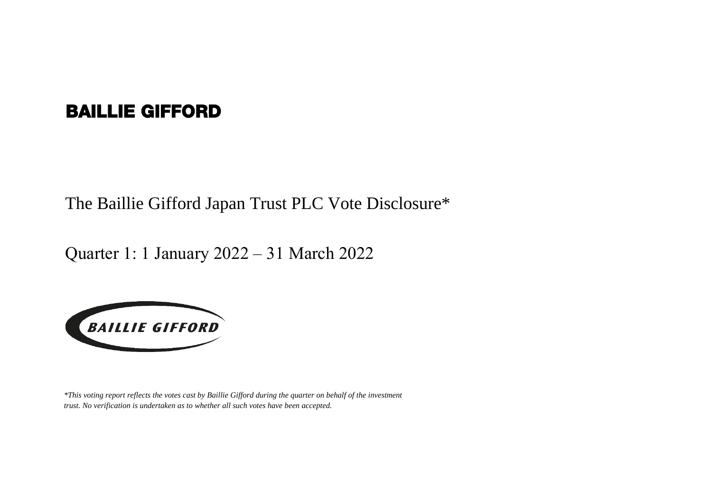## BAILLIE GIFFORD

The Baillie Gifford Japan Trust PLC Vote Disclosure\*

Quarter 1: 1 January 2022 – 31 March 2022



*\*This voting report reflects the votes cast by Baillie Gifford during the quarter on behalf of the investment trust. No verification is undertaken as to whether all such votes have been accepted.*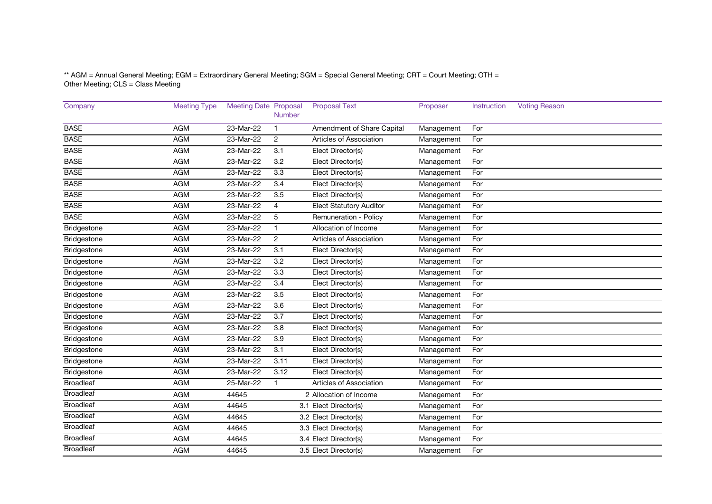\*\* AGM = Annual General Meeting; EGM = Extraordinary General Meeting; SGM = Special General Meeting; CRT = Court Meeting; OTH = Other Meeting; CLS = Class Meeting

| Company          | <b>Meeting Type</b> | <b>Meeting Date Proposal</b> | Number           | <b>Proposal Text</b>           | Proposer   | Instruction | <b>Voting Reason</b> |
|------------------|---------------------|------------------------------|------------------|--------------------------------|------------|-------------|----------------------|
| <b>BASE</b>      | <b>AGM</b>          | 23-Mar-22                    | $\mathbf{1}$     | Amendment of Share Capital     | Management | For         |                      |
| <b>BASE</b>      | <b>AGM</b>          | 23-Mar-22                    | 2                | Articles of Association        | Management | For         |                      |
| <b>BASE</b>      | <b>AGM</b>          | 23-Mar-22                    | 3.1              | Elect Director(s)              | Management | For         |                      |
| <b>BASE</b>      | <b>AGM</b>          | 23-Mar-22                    | 3.2              | Elect Director(s)              | Management | For         |                      |
| <b>BASE</b>      | <b>AGM</b>          | 23-Mar-22                    | 3.3              | Elect Director(s)              | Management | For         |                      |
| <b>BASE</b>      | <b>AGM</b>          | 23-Mar-22                    | 3.4              | Elect Director(s)              | Management | For         |                      |
| <b>BASE</b>      | <b>AGM</b>          | 23-Mar-22                    | 3.5              | Elect Director(s)              | Management | For         |                      |
| <b>BASE</b>      | <b>AGM</b>          | 23-Mar-22                    | $\overline{4}$   | <b>Elect Statutory Auditor</b> | Management | For         |                      |
| <b>BASE</b>      | <b>AGM</b>          | 23-Mar-22                    | 5                | Remuneration - Policy          | Management | For         |                      |
| Bridgestone      | <b>AGM</b>          | 23-Mar-22                    | $\mathbf 1$      | Allocation of Income           | Management | For         |                      |
| Bridgestone      | <b>AGM</b>          | 23-Mar-22                    | 2                | Articles of Association        | Management | For         |                      |
| Bridgestone      | <b>AGM</b>          | 23-Mar-22                    | 3.1              | Elect Director(s)              | Management | For         |                      |
| Bridgestone      | <b>AGM</b>          | 23-Mar-22                    | 3.2              | Elect Director(s)              | Management | For         |                      |
| Bridgestone      | <b>AGM</b>          | 23-Mar-22                    | 3.3              | Elect Director(s)              | Management | For         |                      |
| Bridgestone      | <b>AGM</b>          | 23-Mar-22                    | 3.4              | Elect Director(s)              | Management | For         |                      |
| Bridgestone      | <b>AGM</b>          | 23-Mar-22                    | $\overline{3.5}$ | Elect Director(s)              | Management | For         |                      |
| Bridgestone      | <b>AGM</b>          | 23-Mar-22                    | 3.6              | Elect Director(s)              | Management | For         |                      |
| Bridgestone      | <b>AGM</b>          | 23-Mar-22                    | $\overline{3.7}$ | Elect Director(s)              | Management | For         |                      |
| Bridgestone      | <b>AGM</b>          | 23-Mar-22                    | 3.8              | Elect Director(s)              | Management | For         |                      |
| Bridgestone      | <b>AGM</b>          | 23-Mar-22                    | 3.9              | Elect Director(s)              | Management | For         |                      |
| Bridgestone      | <b>AGM</b>          | 23-Mar-22                    | 3.1              | Elect Director(s)              | Management | For         |                      |
| Bridgestone      | <b>AGM</b>          | 23-Mar-22                    | 3.11             | Elect Director(s)              | Management | For         |                      |
| Bridgestone      | <b>AGM</b>          | 23-Mar-22                    | 3.12             | Elect Director(s)              | Management | For         |                      |
| <b>Broadleaf</b> | <b>AGM</b>          | 25-Mar-22                    | 1                | Articles of Association        | Management | For         |                      |
| <b>Broadleaf</b> | <b>AGM</b>          | 44645                        |                  | 2 Allocation of Income         | Management | For         |                      |
| <b>Broadleaf</b> | <b>AGM</b>          | 44645                        |                  | 3.1 Elect Director(s)          | Management | For         |                      |
| <b>Broadleaf</b> | <b>AGM</b>          | 44645                        |                  | 3.2 Elect Director(s)          | Management | For         |                      |
| <b>Broadleaf</b> | <b>AGM</b>          | 44645                        |                  | 3.3 Elect Director(s)          | Management | For         |                      |
| <b>Broadleaf</b> | <b>AGM</b>          | 44645                        |                  | 3.4 Elect Director(s)          | Management | For         |                      |
| <b>Broadleaf</b> | <b>AGM</b>          | 44645                        |                  | 3.5 Elect Director(s)          | Management | For         |                      |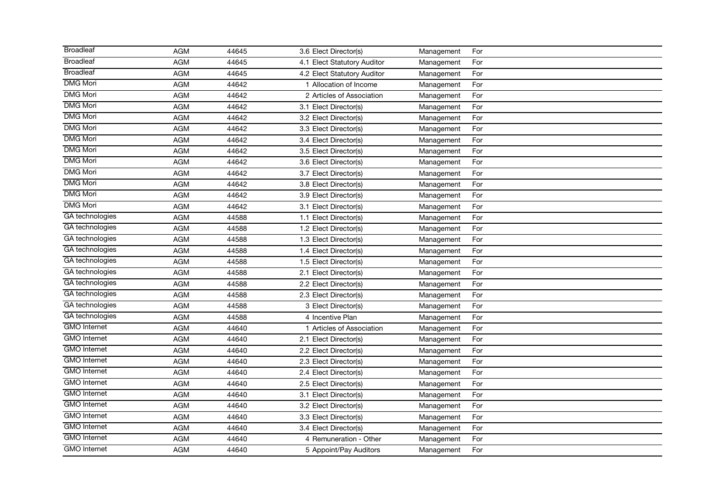| <b>Broadleaf</b>    | <b>AGM</b> | 44645 | 3.6 Elect Director(s)       | Management | For |
|---------------------|------------|-------|-----------------------------|------------|-----|
| <b>Broadleaf</b>    | <b>AGM</b> | 44645 | 4.1 Elect Statutory Auditor | Management | For |
| <b>Broadleaf</b>    | <b>AGM</b> | 44645 | 4.2 Elect Statutory Auditor | Management | For |
| <b>DMG Mori</b>     | <b>AGM</b> | 44642 | 1 Allocation of Income      | Management | For |
| <b>DMG Mori</b>     | <b>AGM</b> | 44642 | 2 Articles of Association   | Management | For |
| <b>DMG Mori</b>     | <b>AGM</b> | 44642 | 3.1 Elect Director(s)       | Management | For |
| <b>DMG Mori</b>     | <b>AGM</b> | 44642 | 3.2 Elect Director(s)       | Management | For |
| <b>DMG Mori</b>     | <b>AGM</b> | 44642 | 3.3 Elect Director(s)       | Management | For |
| <b>DMG Mori</b>     | <b>AGM</b> | 44642 | 3.4 Elect Director(s)       | Management | For |
| <b>DMG Mori</b>     | <b>AGM</b> | 44642 | 3.5 Elect Director(s)       | Management | For |
| <b>DMG Mori</b>     | <b>AGM</b> | 44642 | 3.6 Elect Director(s)       | Management | For |
| <b>DMG Mori</b>     | <b>AGM</b> | 44642 | 3.7 Elect Director(s)       | Management | For |
| <b>DMG Mori</b>     | <b>AGM</b> | 44642 | 3.8 Elect Director(s)       | Management | For |
| <b>DMG Mori</b>     | <b>AGM</b> | 44642 | 3.9 Elect Director(s)       | Management | For |
| <b>DMG Mori</b>     | <b>AGM</b> | 44642 | 3.1 Elect Director(s)       | Management | For |
| GA technologies     | <b>AGM</b> | 44588 | 1.1 Elect Director(s)       | Management | For |
| GA technologies     | <b>AGM</b> | 44588 | 1.2 Elect Director(s)       | Management | For |
| GA technologies     | <b>AGM</b> | 44588 | 1.3 Elect Director(s)       | Management | For |
| GA technologies     | <b>AGM</b> | 44588 | 1.4 Elect Director(s)       | Management | For |
| GA technologies     | <b>AGM</b> | 44588 | 1.5 Elect Director(s)       | Management | For |
| GA technologies     | <b>AGM</b> | 44588 | 2.1 Elect Director(s)       | Management | For |
| GA technologies     | <b>AGM</b> | 44588 | 2.2 Elect Director(s)       | Management | For |
| GA technologies     | <b>AGM</b> | 44588 | 2.3 Elect Director(s)       | Management | For |
| GA technologies     | <b>AGM</b> | 44588 | 3 Elect Director(s)         | Management | For |
| GA technologies     | <b>AGM</b> | 44588 | 4 Incentive Plan            | Management | For |
| <b>GMO</b> Internet | <b>AGM</b> | 44640 | 1 Articles of Association   | Management | For |
| <b>GMO</b> Internet | <b>AGM</b> | 44640 | 2.1 Elect Director(s)       | Management | For |
| <b>GMO</b> Internet | <b>AGM</b> | 44640 | 2.2 Elect Director(s)       | Management | For |
| <b>GMO</b> Internet | <b>AGM</b> | 44640 | 2.3 Elect Director(s)       | Management | For |
| <b>GMO</b> Internet | <b>AGM</b> | 44640 | 2.4 Elect Director(s)       | Management | For |
| <b>GMO</b> Internet | <b>AGM</b> | 44640 | 2.5 Elect Director(s)       | Management | For |
| <b>GMO</b> Internet | <b>AGM</b> | 44640 | 3.1 Elect Director(s)       | Management | For |
| <b>GMO</b> Internet | <b>AGM</b> | 44640 | 3.2 Elect Director(s)       | Management | For |
| <b>GMO</b> Internet | <b>AGM</b> | 44640 | 3.3 Elect Director(s)       | Management | For |
| <b>GMO</b> Internet | <b>AGM</b> | 44640 | 3.4 Elect Director(s)       | Management | For |
| <b>GMO</b> Internet | <b>AGM</b> | 44640 | 4 Remuneration - Other      | Management | For |
| <b>GMO</b> Internet | <b>AGM</b> | 44640 | 5 Appoint/Pay Auditors      | Management | For |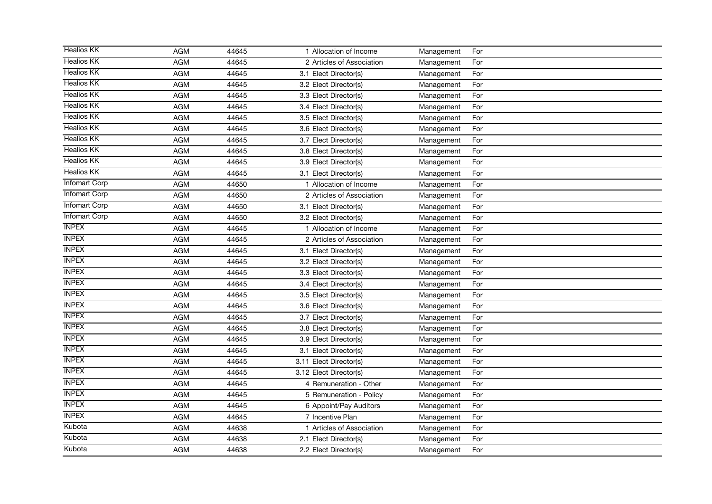| <b>Healios KK</b>    | <b>AGM</b> | 44645 | 1 Allocation of Income    | Management | For |
|----------------------|------------|-------|---------------------------|------------|-----|
| <b>Healios KK</b>    | <b>AGM</b> | 44645 | 2 Articles of Association | Management | For |
| <b>Healios KK</b>    | <b>AGM</b> | 44645 | 3.1 Elect Director(s)     | Management | For |
| <b>Healios KK</b>    | <b>AGM</b> | 44645 | 3.2 Elect Director(s)     | Management | For |
| <b>Healios KK</b>    | <b>AGM</b> | 44645 | 3.3 Elect Director(s)     | Management | For |
| <b>Healios KK</b>    | <b>AGM</b> | 44645 | 3.4 Elect Director(s)     | Management | For |
| <b>Healios KK</b>    | <b>AGM</b> | 44645 | 3.5 Elect Director(s)     | Management | For |
| <b>Healios KK</b>    | <b>AGM</b> | 44645 | 3.6 Elect Director(s)     | Management | For |
| <b>Healios KK</b>    | <b>AGM</b> | 44645 | 3.7 Elect Director(s)     | Management | For |
| <b>Healios KK</b>    | <b>AGM</b> | 44645 | 3.8 Elect Director(s)     | Management | For |
| <b>Healios KK</b>    | <b>AGM</b> | 44645 | 3.9 Elect Director(s)     | Management | For |
| <b>Healios KK</b>    | <b>AGM</b> | 44645 | 3.1 Elect Director(s)     | Management | For |
| <b>Infomart Corp</b> | <b>AGM</b> | 44650 | 1 Allocation of Income    | Management | For |
| <b>Infomart Corp</b> | <b>AGM</b> | 44650 | 2 Articles of Association | Management | For |
| <b>Infomart Corp</b> | <b>AGM</b> | 44650 | 3.1 Elect Director(s)     | Management | For |
| <b>Infomart Corp</b> | <b>AGM</b> | 44650 | 3.2 Elect Director(s)     | Management | For |
| <b>INPEX</b>         | <b>AGM</b> | 44645 | 1 Allocation of Income    | Management | For |
| <b>INPEX</b>         | <b>AGM</b> | 44645 | 2 Articles of Association | Management | For |
| <b>INPEX</b>         | <b>AGM</b> | 44645 | 3.1 Elect Director(s)     | Management | For |
| <b>INPEX</b>         | <b>AGM</b> | 44645 | 3.2 Elect Director(s)     | Management | For |
| <b>INPEX</b>         | <b>AGM</b> | 44645 | 3.3 Elect Director(s)     | Management | For |
| <b>INPEX</b>         | <b>AGM</b> | 44645 | 3.4 Elect Director(s)     | Management | For |
| <b>INPEX</b>         | <b>AGM</b> | 44645 | 3.5 Elect Director(s)     | Management | For |
| <b>INPEX</b>         | <b>AGM</b> | 44645 | 3.6 Elect Director(s)     | Management | For |
| <b>INPEX</b>         | <b>AGM</b> | 44645 | 3.7 Elect Director(s)     | Management | For |
| <b>INPEX</b>         | <b>AGM</b> | 44645 | 3.8 Elect Director(s)     | Management | For |
| <b>INPEX</b>         | <b>AGM</b> | 44645 | 3.9 Elect Director(s)     | Management | For |
| <b>INPEX</b>         | <b>AGM</b> | 44645 | 3.1 Elect Director(s)     | Management | For |
| <b>INPEX</b>         | <b>AGM</b> | 44645 | 3.11 Elect Director(s)    | Management | For |
| <b>INPEX</b>         | <b>AGM</b> | 44645 | 3.12 Elect Director(s)    | Management | For |
| <b>INPEX</b>         | <b>AGM</b> | 44645 | 4 Remuneration - Other    | Management | For |
| <b>INPEX</b>         | <b>AGM</b> | 44645 | 5 Remuneration - Policy   | Management | For |
| <b>INPEX</b>         | <b>AGM</b> | 44645 | 6 Appoint/Pay Auditors    | Management | For |
| <b>INPEX</b>         | <b>AGM</b> | 44645 | 7 Incentive Plan          | Management | For |
| Kubota               | <b>AGM</b> | 44638 | 1 Articles of Association | Management | For |
| Kubota               | <b>AGM</b> | 44638 | 2.1 Elect Director(s)     | Management | For |
| Kubota               | <b>AGM</b> | 44638 | 2.2 Elect Director(s)     | Management | For |
|                      |            |       |                           |            |     |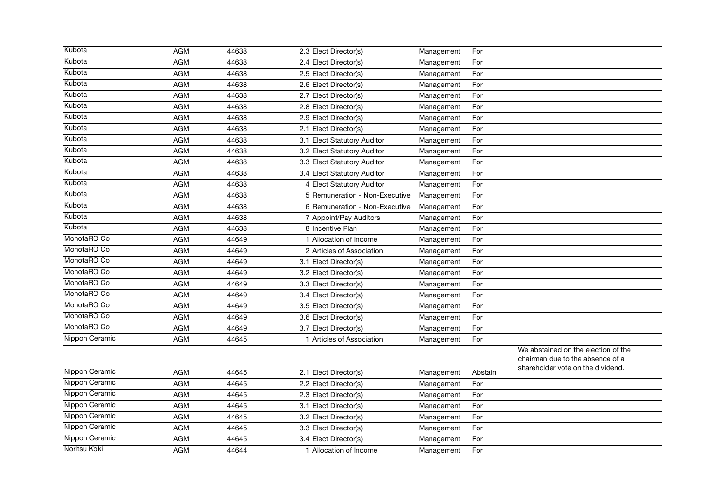| Kubota         | <b>AGM</b> | 44638 | 2.3 Elect Director(s)          | Management | For     |                                     |
|----------------|------------|-------|--------------------------------|------------|---------|-------------------------------------|
| Kubota         | <b>AGM</b> | 44638 | 2.4 Elect Director(s)          | Management | For     |                                     |
| Kubota         | <b>AGM</b> | 44638 | 2.5 Elect Director(s)          | Management | For     |                                     |
| Kubota         | <b>AGM</b> | 44638 | 2.6 Elect Director(s)          | Management | For     |                                     |
| Kubota         | <b>AGM</b> | 44638 | 2.7 Elect Director(s)          | Management | For     |                                     |
| Kubota         | <b>AGM</b> | 44638 | 2.8 Elect Director(s)          | Management | For     |                                     |
| Kubota         | <b>AGM</b> | 44638 | 2.9 Elect Director(s)          | Management | For     |                                     |
| Kubota         | <b>AGM</b> | 44638 | 2.1 Elect Director(s)          | Management | For     |                                     |
| Kubota         | <b>AGM</b> | 44638 | 3.1 Elect Statutory Auditor    | Management | For     |                                     |
| Kubota         | <b>AGM</b> | 44638 | 3.2 Elect Statutory Auditor    | Management | For     |                                     |
| Kubota         | <b>AGM</b> | 44638 | 3.3 Elect Statutory Auditor    | Management | For     |                                     |
| Kubota         | <b>AGM</b> | 44638 | 3.4 Elect Statutory Auditor    | Management | For     |                                     |
| Kubota         | <b>AGM</b> | 44638 | 4 Elect Statutory Auditor      | Management | For     |                                     |
| Kubota         | <b>AGM</b> | 44638 | 5 Remuneration - Non-Executive | Management | For     |                                     |
| Kubota         | <b>AGM</b> | 44638 | 6 Remuneration - Non-Executive | Management | For     |                                     |
| Kubota         | <b>AGM</b> | 44638 | 7 Appoint/Pay Auditors         | Management | For     |                                     |
| Kubota         | <b>AGM</b> | 44638 | 8 Incentive Plan               | Management | For     |                                     |
| MonotaRO Co    | <b>AGM</b> | 44649 | 1 Allocation of Income         | Management | For     |                                     |
| MonotaRO Co    | <b>AGM</b> | 44649 | 2 Articles of Association      | Management | For     |                                     |
| MonotaRO Co    | <b>AGM</b> | 44649 | 3.1 Elect Director(s)          | Management | For     |                                     |
| MonotaRO Co    | <b>AGM</b> | 44649 | 3.2 Elect Director(s)          | Management | For     |                                     |
| MonotaRO Co    | <b>AGM</b> | 44649 | 3.3 Elect Director(s)          | Management | For     |                                     |
| MonotaRO Co    | <b>AGM</b> | 44649 | 3.4 Elect Director(s)          | Management | For     |                                     |
| MonotaRO Co    | <b>AGM</b> | 44649 | 3.5 Elect Director(s)          | Management | For     |                                     |
| MonotaRO Co    | <b>AGM</b> | 44649 | 3.6 Elect Director(s)          | Management | For     |                                     |
| MonotaRO Co    | <b>AGM</b> | 44649 | 3.7 Elect Director(s)          | Management | For     |                                     |
| Nippon Ceramic | <b>AGM</b> | 44645 | 1 Articles of Association      | Management | For     |                                     |
|                |            |       |                                |            |         | We abstained on the election of the |
|                |            |       |                                |            |         | chairman due to the absence of a    |
| Nippon Ceramic | <b>AGM</b> | 44645 | 2.1 Elect Director(s)          | Management | Abstain | shareholder vote on the dividend.   |
| Nippon Ceramic | <b>AGM</b> | 44645 | 2.2 Elect Director(s)          | Management | For     |                                     |
| Nippon Ceramic | <b>AGM</b> | 44645 | 2.3 Elect Director(s)          | Management | For     |                                     |
| Nippon Ceramic | <b>AGM</b> | 44645 | 3.1 Elect Director(s)          | Management | For     |                                     |
| Nippon Ceramic | <b>AGM</b> | 44645 | 3.2 Elect Director(s)          | Management | For     |                                     |
| Nippon Ceramic | <b>AGM</b> | 44645 | 3.3 Elect Director(s)          | Management | For     |                                     |
| Nippon Ceramic | <b>AGM</b> | 44645 | 3.4 Elect Director(s)          | Management | For     |                                     |
| Noritsu Koki   | <b>AGM</b> | 44644 | 1 Allocation of Income         | Management | For     |                                     |
|                |            |       |                                |            |         |                                     |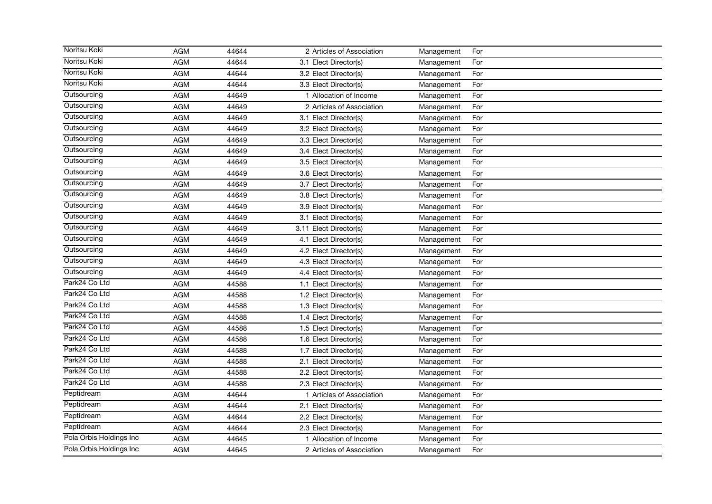| Noritsu Koki            | <b>AGM</b> | 44644 | 2 Articles of Association | Management | For |
|-------------------------|------------|-------|---------------------------|------------|-----|
| Noritsu Koki            | <b>AGM</b> | 44644 | 3.1 Elect Director(s)     | Management | For |
| Noritsu Koki            | <b>AGM</b> | 44644 | 3.2 Elect Director(s)     | Management | For |
| Noritsu Koki            | <b>AGM</b> | 44644 | 3.3 Elect Director(s)     | Management | For |
| Outsourcing             | <b>AGM</b> | 44649 | 1 Allocation of Income    | Management | For |
| Outsourcing             | <b>AGM</b> | 44649 | 2 Articles of Association | Management | For |
| Outsourcing             | <b>AGM</b> | 44649 | 3.1 Elect Director(s)     | Management | For |
| Outsourcing             | <b>AGM</b> | 44649 | 3.2 Elect Director(s)     | Management | For |
| Outsourcing             | <b>AGM</b> | 44649 | 3.3 Elect Director(s)     | Management | For |
| Outsourcing             | <b>AGM</b> | 44649 | 3.4 Elect Director(s)     | Management | For |
| Outsourcing             | <b>AGM</b> | 44649 | 3.5 Elect Director(s)     | Management | For |
| Outsourcing             | <b>AGM</b> | 44649 | 3.6 Elect Director(s)     | Management | For |
| Outsourcing             | <b>AGM</b> | 44649 | 3.7 Elect Director(s)     | Management | For |
| Outsourcing             | <b>AGM</b> | 44649 | 3.8 Elect Director(s)     | Management | For |
| Outsourcing             | <b>AGM</b> | 44649 | 3.9 Elect Director(s)     | Management | For |
| Outsourcing             | <b>AGM</b> | 44649 | 3.1 Elect Director(s)     | Management | For |
| Outsourcing             | <b>AGM</b> | 44649 | 3.11 Elect Director(s)    | Management | For |
| Outsourcing             | <b>AGM</b> | 44649 | 4.1 Elect Director(s)     | Management | For |
| Outsourcing             | <b>AGM</b> | 44649 | 4.2 Elect Director(s)     | Management | For |
| Outsourcing             | <b>AGM</b> | 44649 | 4.3 Elect Director(s)     | Management | For |
| Outsourcing             | <b>AGM</b> | 44649 | 4.4 Elect Director(s)     | Management | For |
| Park24 Co Ltd           | <b>AGM</b> | 44588 | 1.1 Elect Director(s)     | Management | For |
| Park24 Co Ltd           | <b>AGM</b> | 44588 | 1.2 Elect Director(s)     | Management | For |
| Park24 Co Ltd           | <b>AGM</b> | 44588 | 1.3 Elect Director(s)     | Management | For |
| Park24 Co Ltd           | <b>AGM</b> | 44588 | 1.4 Elect Director(s)     | Management | For |
| Park24 Co Ltd           | <b>AGM</b> | 44588 | 1.5 Elect Director(s)     | Management | For |
| Park24 Co Ltd           | <b>AGM</b> | 44588 | 1.6 Elect Director(s)     | Management | For |
| Park24 Co Ltd           | <b>AGM</b> | 44588 | 1.7 Elect Director(s)     | Management | For |
| Park24 Co Ltd           | <b>AGM</b> | 44588 | 2.1 Elect Director(s)     | Management | For |
| Park24 Co Ltd           | <b>AGM</b> | 44588 | 2.2 Elect Director(s)     | Management | For |
| Park24 Co Ltd           | <b>AGM</b> | 44588 | 2.3 Elect Director(s)     | Management | For |
| Peptidream              | <b>AGM</b> | 44644 | 1 Articles of Association | Management | For |
| Peptidream              | <b>AGM</b> | 44644 | 2.1 Elect Director(s)     | Management | For |
| Peptidream              | <b>AGM</b> | 44644 | 2.2 Elect Director(s)     | Management | For |
| Peptidream              | <b>AGM</b> | 44644 | 2.3 Elect Director(s)     | Management | For |
| Pola Orbis Holdings Inc | <b>AGM</b> | 44645 | 1 Allocation of Income    | Management | For |
| Pola Orbis Holdings Inc | <b>AGM</b> | 44645 | 2 Articles of Association | Management | For |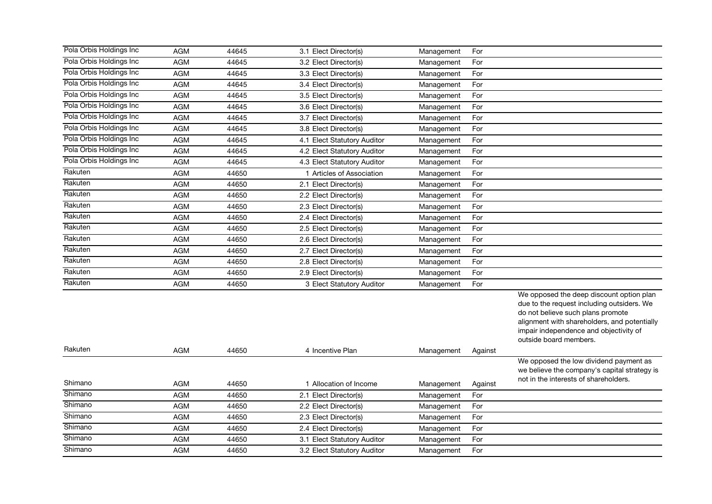| Pola Orbis Holdings Inc  | <b>AGM</b> | 44645 | 3.1 Elect Director(s)       | Management | For     |                                                                                                                                                                                                                                                 |
|--------------------------|------------|-------|-----------------------------|------------|---------|-------------------------------------------------------------------------------------------------------------------------------------------------------------------------------------------------------------------------------------------------|
| Pola Orbis Holdings Inc  | <b>AGM</b> | 44645 | 3.2 Elect Director(s)       | Management | For     |                                                                                                                                                                                                                                                 |
| Pola Orbis Holdings Inc  | <b>AGM</b> | 44645 | 3.3 Elect Director(s)       | Management | For     |                                                                                                                                                                                                                                                 |
| Pola Orbis Holdings Inc  | <b>AGM</b> | 44645 | 3.4 Elect Director(s)       | Management | For     |                                                                                                                                                                                                                                                 |
| Pola Orbis Holdings Inc  | <b>AGM</b> | 44645 | 3.5 Elect Director(s)       | Management | For     |                                                                                                                                                                                                                                                 |
| Pola Orbis Holdings Inc. | <b>AGM</b> | 44645 | 3.6 Elect Director(s)       | Management | For     |                                                                                                                                                                                                                                                 |
| Pola Orbis Holdings Inc  | <b>AGM</b> | 44645 | 3.7 Elect Director(s)       | Management | For     |                                                                                                                                                                                                                                                 |
| Pola Orbis Holdings Inc  | <b>AGM</b> | 44645 | 3.8 Elect Director(s)       | Management | For     |                                                                                                                                                                                                                                                 |
| Pola Orbis Holdings Inc  | <b>AGM</b> | 44645 | 4.1 Elect Statutory Auditor | Management | For     |                                                                                                                                                                                                                                                 |
| Pola Orbis Holdings Inc  | <b>AGM</b> | 44645 | 4.2 Elect Statutory Auditor | Management | For     |                                                                                                                                                                                                                                                 |
| Pola Orbis Holdings Inc  | <b>AGM</b> | 44645 | 4.3 Elect Statutory Auditor | Management | For     |                                                                                                                                                                                                                                                 |
| Rakuten                  | <b>AGM</b> | 44650 | 1 Articles of Association   | Management | For     |                                                                                                                                                                                                                                                 |
| Rakuten                  | <b>AGM</b> | 44650 | 2.1 Elect Director(s)       | Management | For     |                                                                                                                                                                                                                                                 |
| Rakuten                  | <b>AGM</b> | 44650 | 2.2 Elect Director(s)       | Management | For     |                                                                                                                                                                                                                                                 |
| Rakuten                  | <b>AGM</b> | 44650 | 2.3 Elect Director(s)       | Management | For     |                                                                                                                                                                                                                                                 |
| Rakuten                  | <b>AGM</b> | 44650 | 2.4 Elect Director(s)       | Management | For     |                                                                                                                                                                                                                                                 |
| Rakuten                  | <b>AGM</b> | 44650 | 2.5 Elect Director(s)       | Management | For     |                                                                                                                                                                                                                                                 |
| Rakuten                  | <b>AGM</b> | 44650 | 2.6 Elect Director(s)       | Management | For     |                                                                                                                                                                                                                                                 |
| Rakuten                  | <b>AGM</b> | 44650 | 2.7 Elect Director(s)       | Management | For     |                                                                                                                                                                                                                                                 |
| Rakuten                  | <b>AGM</b> | 44650 | 2.8 Elect Director(s)       | Management | For     |                                                                                                                                                                                                                                                 |
| Rakuten                  | <b>AGM</b> | 44650 | 2.9 Elect Director(s)       | Management | For     |                                                                                                                                                                                                                                                 |
| Rakuten                  | <b>AGM</b> | 44650 | 3 Elect Statutory Auditor   | Management | For     |                                                                                                                                                                                                                                                 |
|                          |            |       |                             |            |         | We opposed the deep discount option plan<br>due to the request including outsiders. We<br>do not believe such plans promote<br>alignment with shareholders, and potentially<br>impair independence and objectivity of<br>outside board members. |
| Rakuten                  | <b>AGM</b> | 44650 | 4 Incentive Plan            | Management | Against |                                                                                                                                                                                                                                                 |
|                          |            |       |                             |            |         | We opposed the low dividend payment as<br>we believe the company's capital strategy is<br>not in the interests of shareholders.                                                                                                                 |
| Shimano                  | <b>AGM</b> | 44650 | 1 Allocation of Income      | Management | Against |                                                                                                                                                                                                                                                 |
| Shimano                  | <b>AGM</b> | 44650 | 2.1 Elect Director(s)       | Management | For     |                                                                                                                                                                                                                                                 |
| Shimano                  | <b>AGM</b> | 44650 | 2.2 Elect Director(s)       | Management | For     |                                                                                                                                                                                                                                                 |
| Shimano                  | <b>AGM</b> | 44650 | 2.3 Elect Director(s)       | Management | For     |                                                                                                                                                                                                                                                 |
| Shimano                  | <b>AGM</b> | 44650 | 2.4 Elect Director(s)       | Management | For     |                                                                                                                                                                                                                                                 |
| Shimano                  | <b>AGM</b> | 44650 | 3.1 Elect Statutory Auditor | Management | For     |                                                                                                                                                                                                                                                 |
| Shimano                  | <b>AGM</b> | 44650 | 3.2 Elect Statutory Auditor | Management | For     |                                                                                                                                                                                                                                                 |